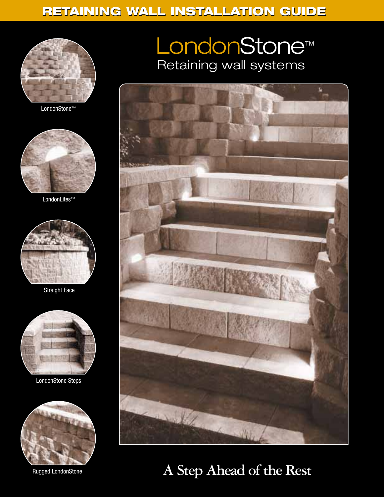## **RETAINING WALL INSTALLATION GUIDE**



LondonStone™



LondonLites™



Straight Face



LondonStone Steps



Rugged LondonStone

## LondonStone™ Retaining wall systems



**A Step Ahead of the Rest**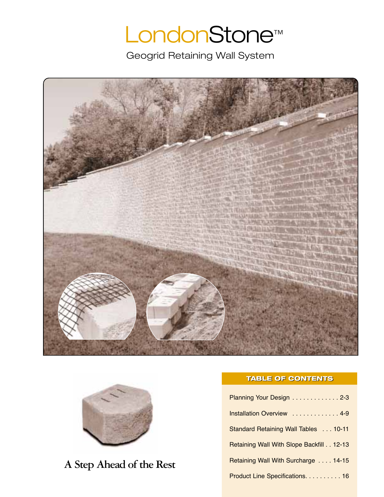# LondonStone™

Geogrid Retaining Wall System





## **A Step Ahead of the Rest**

#### **TABLE OF CONTENTS**

| Planning Your Design 2-3                 |
|------------------------------------------|
| Installation Overview  4-9               |
| Standard Retaining Wall Tables  10-11    |
| Retaining Wall With Slope Backfill 12-13 |
| Retaining Wall With Surcharge  14-15     |
| Product Line Specifications. 16          |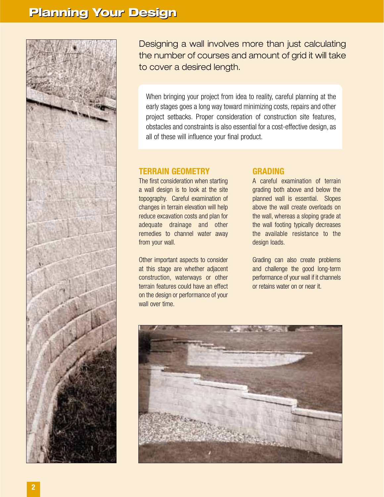

Designing a wall involves more than just calculating the number of courses and amount of grid it will take to cover a desired length.

When bringing your project from idea to reality, careful planning at the early stages goes a long way toward minimizing costs, repairs and other project setbacks. Proper consideration of construction site features, obstacles and constraints is also essential for a cost-effective design, as all of these will influence your final product.

#### **TERRAIN GEOMETRY**

The first consideration when starting a wall design is to look at the site topography. Careful examination of changes in terrain elevation will help reduce excavation costs and plan for adequate drainage and other remedies to channel water away from your wall.

Other important aspects to consider at this stage are whether adjacent construction, waterways or other terrain features could have an effect on the design or performance of your wall over time.

#### **GRADING**

A careful examination of terrain grading both above and below the planned wall is essential. Slopes above the wall create overloads on the wall, whereas a sloping grade at the wall footing typically decreases the available resistance to the design loads.

Grading can also create problems and challenge the good long-term performance of your wall if it channels or retains water on or near it.

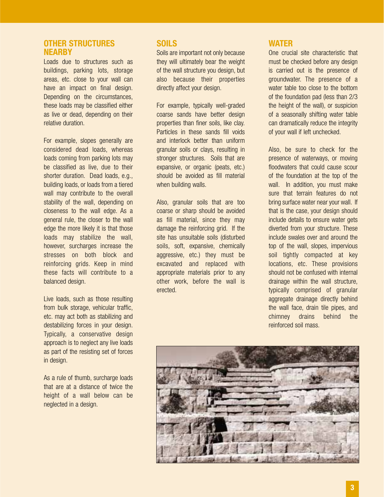#### **OTHER STRUCTURES NEARBY**

Loads due to structures such as buildings, parking lots, storage areas, etc. close to your wall can have an impact on final design. Depending on the circumstances, these loads may be classified either as live or dead, depending on their relative duration.

For example, slopes generally are considered dead loads, whereas loads coming from parking lots may be classified as live, due to their shorter duration. Dead loads, e.g., building loads, or loads from a tiered wall may contribute to the overall stability of the wall, depending on closeness to the wall edge. As a general rule, the closer to the wall edge the more likely it is that those loads may stabilize the wall, however, surcharges increase the stresses on both block and reinforcing grids. Keep in mind these facts will contribute to a balanced design.

Live loads, such as those resulting from bulk storage, vehicular traffic, etc. may act both as stabilizing and destabilizing forces in your design. Typically, a conservative design approach is to neglect any live loads as part of the resisting set of forces in design.

As a rule of thumb, surcharge loads that are at a distance of twice the height of a wall below can be neglected in a design.

#### **SOILS**

Soils are important not only because they will ultimately bear the weight of the wall structure you design, but also because their properties directly affect your design.

For example, typically well-graded coarse sands have better design properties than finer soils, like clay. Particles in these sands fill voids and interlock better than uniform granular soils or clays, resulting in stronger structures. Soils that are expansive, or organic (peats, etc.) should be avoided as fill material when building walls.

Also, granular soils that are too coarse or sharp should be avoided as fill material, since they may damage the reinforcing grid. If the site has unsuitable soils (disturbed soils, soft, expansive, chemically aggressive, etc.) they must be excavated and replaced with appropriate materials prior to any other work, before the wall is erected.

#### **WATER**

One crucial site characteristic that must be checked before any design is carried out is the presence of groundwater. The presence of a water table too close to the bottom of the foundation pad (less than 2/3 the height of the wall), or suspicion of a seasonally shifting water table can dramatically reduce the integrity of your wall if left unchecked.

Also, be sure to check for the presence of waterways, or moving floodwaters that could cause scour of the foundation at the top of the wall. In addition, you must make sure that terrain features do not bring surface water near your wall. If that is the case, your design should include details to ensure water gets diverted from your structure. These include swales over and around the top of the wall, slopes, impervious soil tightly compacted at key locations, etc. These provisions should not be confused with internal drainage within the wall structure, typically comprised of granular aggregate drainage directly behind the wall face, drain tile pipes, and chimney drains behind the reinforced soil mass.

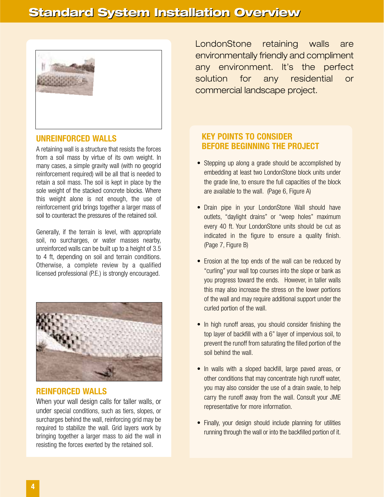

#### **UNREINFORCED WALLS**

A retaining wall is a structure that resists the forces from a soil mass by virtue of its own weight. In many cases, a simple gravity wall (with no geogrid reinforcement required) will be all that is needed to retain a soil mass. The soil is kept in place by the sole weight of the stacked concrete blocks. Where this weight alone is not enough, the use of reinforcement grid brings together a larger mass of soil to counteract the pressures of the retained soil.

Generally, if the terrain is level, with appropriate soil, no surcharges, or water masses nearby, unreinforced walls can be built up to a height of 3.5 to 4 ft, depending on soil and terrain conditions. Otherwise, a complete review by a qualified licensed professional (P.E.) is strongly encouraged.



#### **REINFORCED WALLS**

When your wall design calls for taller walls, or under special conditions, such as tiers, slopes, or surcharges behind the wall, reinforcing grid may be required to stabilize the wall. Grid layers work by bringing together a larger mass to aid the wall in resisting the forces exerted by the retained soil.

LondonStone retaining walls are environmentally friendly and compliment any environment. It's the perfect solution for any residential or commercial landscape project.

#### **KEY POINTS TO CONSIDER BEFORE BEGINNING THE PROJECT**

- Stepping up along a grade should be accomplished by embedding at least two LondonStone block units under the grade line, to ensure the full capacities of the block are available to the wall. (Page 6, Figure A)
- Drain pipe in your LondonStone Wall should have outlets, "daylight drains" or "weep holes" maximum every 40 ft. Your LondonStone units should be cut as indicated in the figure to ensure a quality finish. (Page 7, Figure B)
- Erosion at the top ends of the wall can be reduced by "curling" your wall top courses into the slope or bank as you progress toward the ends. However, in taller walls this may also increase the stress on the lower portions of the wall and may require additional support under the curled portion of the wall.
- In high runoff areas, you should consider finishing the top layer of backfill with a 6" layer of impervious soil, to prevent the runoff from saturating the filled portion of the soil behind the wall.
- In walls with a sloped backfill, large paved areas, or other conditions that may concentrate high runoff water, you may also consider the use of a drain swale, to help carry the runoff away from the wall. Consult your JME representative for more information.
- Finally, your design should include planning for utilities running through the wall or into the backfilled portion of it.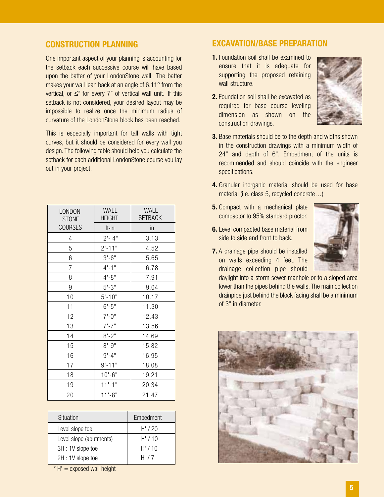#### **CONSTRUCTION PLANNING**

One important aspect of your planning is accounting for the setback each successive course will have based upon the batter of your LondonStone wall. The batter makes your wall lean back at an angle of 6.11° from the vertical, or ≤" for every 7" of vertical wall unit. If this setback is not considered, your desired layout may be impossible to realize once the minimum radius of curvature of the LondonStone block has been reached.

This is especially important for tall walls with tight curves, but it should be considered for every wall you design. The following table should help you calculate the setback for each additional LondonStone course you lay out in your project.

| LONDON<br><b>STONE</b> | <b>WALL</b><br><b>HEIGHT</b> | <b>WALL</b><br><b>SETBACK</b> |
|------------------------|------------------------------|-------------------------------|
| <b>COURSES</b>         | ft-in                        | in                            |
| 4                      | $2 - 4"$                     | 3.13                          |
| 5                      | $2' - 11"$                   | 4.52                          |
| 6                      | $3'-6''$                     | 5.65                          |
| 7                      | $4 - 1$ "                    | 6.78                          |
| 8                      | $4 - 8$ "                    | 7.91                          |
| 9                      | $5' - 3''$                   | 9.04                          |
| 10                     | $5' - 10"$                   | 10.17                         |
| 11                     | $6' - 5"$                    | 11.30                         |
| 12                     | $7'-0''$                     | 12.43                         |
| 13                     | $7'$ -7"                     | 13.56                         |
| 14                     | $8 - 2"$                     | 14.69                         |
| 15                     | $8' - 9''$                   | 15.82                         |
| 16                     | $9' - 4''$                   | 16.95                         |
| 17                     | $9' - 11"$                   | 18.08                         |
| 18                     | $10'-6''$                    | 19.21                         |
| 19                     | $11'-1$ "                    | 20.34                         |
| 20                     | $11'-8''$                    | 21.47                         |

| Situation               | Embedment |
|-------------------------|-----------|
| Level slope toe         | H'/20     |
| Level slope (abutments) | H'/10     |
| 3H: 1V slope toe        | H'/10     |
| 2H: 1V slope toe        | H'/7      |

 $* H' =$  exposed wall height

#### **EXCAVATION/BASE PREPARATION**

- **1.** Foundation soil shall be examined to ensure that it is adequate for supporting the proposed retaining wall structure.
- **2.** Foundation soil shall be excavated as required for base course leveling dimension as shown on the construction drawings.



- **3.** Base materials should be to the depth and widths shown in the construction drawings with a minimum width of 24" and depth of 6". Embedment of the units is recommended and should coincide with the engineer specifications.
- **4.** Granular inorganic material should be used for base material (i.e. class 5, recycled concrete…)
- **5.** Compact with a mechanical plate compactor to 95% standard proctor.
- **6.** Level compacted base material from side to side and front to back.



**7.** A drainage pipe should be installed on walls exceeding 4 feet. The drainage collection pipe should

daylight into a storm sewer manhole or to a sloped area lower than the pipes behind the walls. The main collection drainpipe just behind the block facing shall be a minimum of 3" in diameter.

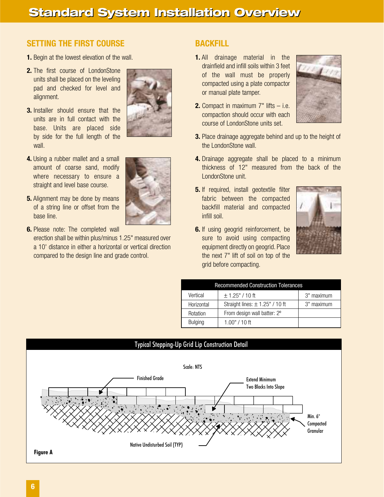### **SETTING THE FIRST COURSE**

- **1.** Begin at the lowest elevation of the wall.
- **2.** The first course of LondonStone units shall be placed on the leveling pad and checked for level and alignment.
- **3.** Installer should ensure that the units are in full contact with the base. Units are placed side by side for the full length of the wall.
- **4.** Using a rubber mallet and a small amount of coarse sand, modify where necessary to ensure a straight and level base course.
- **5.** Alignment may be done by means of a string line or offset from the base line.
- **6.** Please note: The completed wall

erection shall be within plus/minus 1.25" measured over a 10' distance in either a horizontal or vertical direction compared to the design line and grade control.





#### **BACKFILL**

- **1.** All drainage material in the drainfield and infill soils within 3 feet of the wall must be properly compacted using a plate compactor or manual plate tamper.
- **2.** Compact in maximum 7" lifts i.e. compaction should occur with each course of LondonStone units set.



- **3.** Place drainage aggregate behind and up to the height of the LondonStone wall.
- **4.** Drainage aggregate shall be placed to a minimum thickness of 12" measured from the back of the LondonStone unit.
- **5.** If required, install geotextile filter fabric between the compacted backfill material and compacted infill soil.
- **6.** If using geogrid reinforcement, be sure to avoid using compacting equipment directly on geogrid. Place the next 7" lift of soil on top of the grid before compacting.



| <b>Recommended Construction Tolerances</b> |                                     |            |  |  |  |  |  |  |  |  |
|--------------------------------------------|-------------------------------------|------------|--|--|--|--|--|--|--|--|
| Vertical                                   | $\pm$ 1.25" / 10 ft                 | 3" maximum |  |  |  |  |  |  |  |  |
| Horizontal                                 | Straight lines: $\pm$ 1.25" / 10 ft | 3" maximum |  |  |  |  |  |  |  |  |
| Rotation                                   | From design wall batter: 2°         |            |  |  |  |  |  |  |  |  |
| <b>Bulging</b>                             | $1.00" / 10$ ft                     |            |  |  |  |  |  |  |  |  |

#### Typical Stepping-Up Grid Lip Construction Detail

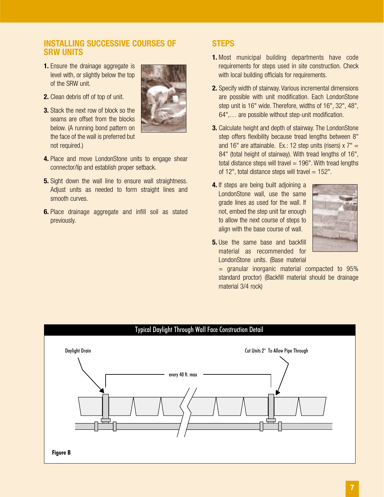#### **INSTALLING SUCCESSIVE COURSES OF SRW UNITS**

**1.** Ensure the drainage aggregate is level with, or slightly below the top of the SRW unit.



- **2.** Clean debris off of top of unit.
- **3.** Stack the next row of block so the seams are offset from the blocks below. (A running bond pattern on the face of the wall is preferred but not required.)
- **4.** Place and move LondonStone units to engage shear connector/lip and establish proper setback.
- **5.** Sight down the wall line to ensure wall straightness. Adjust units as needed to form straight lines and smooth curves.
- **6.** Place drainage aggregate and infill soil as stated previously.

#### **STEPS**

- **1.** Most municipal building departments have code requirements for steps used in site construction. Check with local building officials for requirements.
- **2.** Specify width of stairway. Various incremental dimensions are possible with unit modification. Each LondonStone step unit is 16" wide. Therefore, widths of 16", 32", 48", 64",… are possible without step-unit modification.
- **3.** Calculate height and depth of stairway. The LondonStone step offers flexibility because tread lengths between 8" and 16" are attainable. Ex.: 12 step units (risers)  $x 7" =$ 84" (total height of stairway). With tread lengths of 16", total distance steps will travel  $= 196$ ". With tread lengths of 12", total distance steps will travel  $= 152$ ".
- **4.** If steps are being built adjoining a LondonStone wall, use the same grade lines as used for the wall. If not, embed the step unit far enough to allow the next course of steps to align with the base course of wall.



**5.** Use the same base and backfill material as recommended for LondonStone units. (Base material

= granular inorganic material compacted to 95% standard proctor) (Backfill material should be drainage material 3/4 rock)

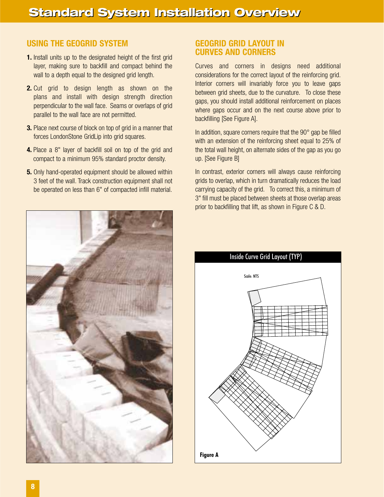#### **USING THE GEOGRID SYSTEM**

- **1.** Install units up to the designated height of the first grid layer, making sure to backfill and compact behind the wall to a depth equal to the designed grid length.
- **2.** Cut grid to design length as shown on the plans and install with design strength direction perpendicular to the wall face. Seams or overlaps of grid parallel to the wall face are not permitted.
- **3.** Place next course of block on top of grid in a manner that forces LondonStone GridLip into grid squares.
- **4.** Place a 8" layer of backfill soil on top of the grid and compact to a minimum 95% standard proctor density.
- **5.** Only hand-operated equipment should be allowed within 3 feet of the wall. Track construction equipment shall not be operated on less than 6" of compacted infill material.



#### **GEOGRID GRID LAYOUT IN CURVES AND CORNERS**

Curves and corners in designs need additional considerations for the correct layout of the reinforcing grid. Interior corners will invariably force you to leave gaps between grid sheets, due to the curvature. To close these gaps, you should install additional reinforcement on places where gaps occur and on the next course above prior to backfilling [See Figure A].

In addition, square corners require that the 90° gap be filled with an extension of the reinforcing sheet equal to 25% of the total wall height, on alternate sides of the gap as you go up. [See Figure B]

In contrast, exterior corners will always cause reinforcing grids to overlap, which in turn dramatically reduces the load carrying capacity of the grid. To correct this, a minimum of 3" fill must be placed between sheets at those overlap areas prior to backfilling that lift, as shown in Figure C & D.

Inside Curve Grid Layout (TYP)

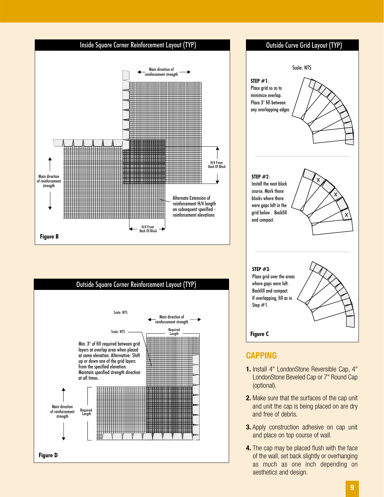





- LondonStone Beveled Cap or 7" Round Cap (optional). **2.** Make sure that the surfaces of the cap unit and unit the cap is being placed on are dry
- and free of debris. **3.** Apply construction adhesive on cap unit and place on top course of wall.
- **4.** The cap may be placed flush with the face of the wall, set back slightly or overhanging as much as one inch depending on aesthetics and design.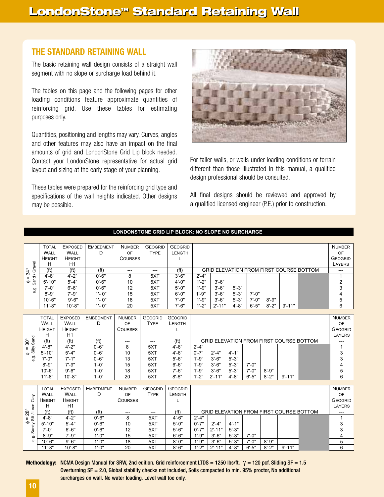#### **THE STANDARD RETAINING WALL**

The basic retaining wall design consists of a straight wall segment with no slope or surcharge load behind it.

The tables on this page and the following pages for other loading conditions feature approximate quantities of reinforcing grid. Use these tables for estimating purposes only.

Quantities, positioning and lengths may vary. Curves, angles and other features may also have an impact on the final amounts of grid and LondonStone Grid Lip block needed. Contact your LondonStone representative for actual grid layout and sizing at the early stage of your planning.

These tables were prepared for the reinforcing grid type and specifications of the wall heights indicated. Other designs may be possible.



For taller walls, or walls under loading conditions or terrain different than those illustrated in this manual, a qualified design professional should be consulted.

All final designs should be reviewed and approved by a qualified licensed engineer (P.E.) prior to construction.

|                                               | <b>TOTAL</b>      | <b>EXPOSED</b>    | <b>EMBEDMENT</b>  | <b>NUMBER</b>  | <b>GEOGRID</b>         | <b>GEOGRID</b>    |                                                |            |            |            |            |                                                |                                         | <b>NUMBER</b>           |  |  |
|-----------------------------------------------|-------------------|-------------------|-------------------|----------------|------------------------|-------------------|------------------------------------------------|------------|------------|------------|------------|------------------------------------------------|-----------------------------------------|-------------------------|--|--|
|                                               | WALL              | WALL              | D                 | OF             | <b>TYPE</b>            | LENGTH            |                                                |            |            |            |            |                                                |                                         | OF                      |  |  |
|                                               | <b>HEIGHT</b>     | <b>HEIGHT</b>     |                   | <b>COURSES</b> |                        | L                 |                                                |            |            |            |            |                                                |                                         | <b>GEOGRID</b>          |  |  |
|                                               | н                 | H1                |                   |                |                        |                   |                                                |            |            |            |            |                                                |                                         | LAYERS                  |  |  |
| Sand / Gravel<br>$=34^{\circ}$                | (f <sup>t</sup> ) | (f <sup>t</sup> ) | (f <sup>t</sup> ) | ---            | $\qquad \qquad \cdots$ | (f <sup>t</sup> ) |                                                |            |            |            |            |                                                | GRID ELEVATION FROM FIRST COURSE BOTTOM | ---                     |  |  |
|                                               | $4' - 8''$        | $4 - 2"$          | $0' - 6"$         | 8              | 5XT                    | $3' - 6"$         | $2^{\prime} - 4^{\prime\prime}$                |            |            |            |            |                                                |                                         | $\mathbf{1}$            |  |  |
| $\ddot{\bullet}$                              | $5' - 10"$        | $5' - 4"$         | $0' - 6"$         | 10             | 5XT                    | $4' - 0''$        | $1' - 2"$                                      | $3' - 6"$  |            |            |            |                                                |                                         | $\overline{2}$          |  |  |
| တဲ့<br>စ                                      | $7' - 0''$        | $6' - 6''$        | $0' - 6"$         | 12             | 5XT                    | $5' - 0''$        | $1' - 9''$                                     | $3' - 6''$ | $5' - 3"$  |            |            |                                                |                                         | 3                       |  |  |
|                                               | $8' - 9''$        | $7' - 9''$        | $1' - 0''$        | 15             | 5XT                    | $6' - 0''$        | $1' - 9''$                                     | $3' - 6''$ | $5' - 3"$  | $7' - 0''$ |            |                                                |                                         | $\overline{\mathbf{4}}$ |  |  |
|                                               | $10' - 6"$        | $9' - 6''$        | $1' - 0''$        | 18             | 5XT                    | $7' - 0''$        | $1' - 9''$                                     | $3' - 6''$ | $5' - 3"$  | $7' - 0''$ | $8' - 9''$ |                                                |                                         | 5                       |  |  |
|                                               | $11' - 8"$        | $10' - 8"$        | $1' - 0''$        | 20             | 5XT                    | $7' - 6''$        | $1' - 2"$                                      | $2' - 11"$ | $4 - 8"$   | $6' - 5"$  | $8' - 2"$  | $9' - 11"$                                     |                                         | 6                       |  |  |
|                                               |                   |                   |                   |                |                        |                   |                                                |            |            |            |            |                                                |                                         |                         |  |  |
|                                               | <b>TOTAL</b>      | <b>EXPOSED</b>    | <b>EMBEDMENT</b>  | <b>NUMBER</b>  | <b>GEOGRID</b>         | <b>GEOGRID</b>    |                                                |            |            |            |            |                                                |                                         | <b>NUMBER</b><br>OF     |  |  |
|                                               | WALL              | WALL              | D                 | OF             | <b>TYPE</b>            | LENGTH            |                                                |            |            |            |            |                                                |                                         |                         |  |  |
|                                               | <b>HEIGHT</b>     | <b>HEIGHT</b>     |                   | <b>COURSES</b> |                        | L                 | <b>GEOGRID</b><br>LAYERS                       |            |            |            |            |                                                |                                         |                         |  |  |
|                                               | H                 | H1                |                   |                |                        |                   | <b>GRID ELEVATION FROM FIRST COURSE BOTTOM</b> |            |            |            |            |                                                |                                         |                         |  |  |
| $\phi = 30^\circ$<br>Silty Sand<br>$30^\circ$ | (f <sub>t</sub> ) | (f <sup>t</sup> ) | (f <sup>t</sup> ) | ---            | ---                    | (f <sub>t</sub> ) |                                                |            |            |            |            |                                                |                                         |                         |  |  |
|                                               | $4' - 8"$         | $4' - 2"$         | $0' - 6"$         | 8              | 5XT                    | $4' - 6"$         | $2' - 4"$                                      |            |            |            |            |                                                |                                         | 1                       |  |  |
|                                               | $5' - 10"$        | $5' - 4"$         | $0' - 6"$         | 10             | 5XT                    | $4' - 6''$        | $0' - 7"$                                      | $2' - 4"$  | $4' - 1''$ |            |            |                                                |                                         | 3                       |  |  |
| e.g.                                          | $7' - 0''$        | $7' - 1''$        | $0' - 6''$        | 13             | 5XT                    | $5' - 6"$         | $1' - 9''$                                     | $3' - 6''$ | $5' - 3''$ |            |            |                                                |                                         | 3                       |  |  |
|                                               | $8' - 9''$        | $7' - 9''$        | $1' - 0''$        | 15             | 5XT                    | $6' - 6''$        | $1' - 9''$                                     | $3' - 6''$ | $5' - 3"$  | $7' - 0''$ |            |                                                |                                         | 4                       |  |  |
|                                               | $10' - 6"$        | $9' - 6''$        | $1' - 0''$        | 18             | 5XT                    | $7' - 6''$        | $1' - 9''$                                     | $3' - 6''$ | $5' - 3"$  | $7' - 0''$ | $8' - 9''$ |                                                |                                         | 5                       |  |  |
|                                               | $11' - 8"$        | $10' - 8"$        | $1' - 0''$        | 20             | 5XT                    | $8' - 6''$        | $1'-2"$                                        | $2' - 11"$ | $4' - 8''$ | $6' - 5"$  | $8' - 2"$  | $9' - 11"$                                     |                                         | 6                       |  |  |
|                                               |                   |                   |                   |                |                        |                   |                                                |            |            |            |            |                                                |                                         |                         |  |  |
|                                               | <b>TOTAL</b>      | <b>EXPOSED</b>    | <b>EMBEDMENT</b>  | <b>NUMBER</b>  | <b>GEOGRID</b>         | <b>GEOGRID</b>    |                                                |            |            |            |            |                                                |                                         | <b>NUMBER</b>           |  |  |
|                                               | WALL              | WALL              | D                 | OF             | <b>TYPE</b>            | <b>LENGTH</b>     |                                                |            |            |            |            |                                                |                                         | OF                      |  |  |
|                                               | <b>HEIGHT</b>     | <b>HEIGHT</b>     |                   | <b>COURSES</b> |                        | L                 |                                                |            |            |            |            |                                                |                                         | <b>GEOGRID</b>          |  |  |
| Sandy Silt / Lean Clay                        | Н                 | H1                |                   |                |                        |                   |                                                |            |            |            |            |                                                |                                         | LAYERS                  |  |  |
| $28^\circ$                                    | (f <sup>t</sup> ) | (f <sup>t</sup> ) | (f <sup>t</sup> ) | $---$          | $---$                  | (f <sup>t</sup> ) |                                                |            |            |            |            | <b>GRID ELEVATION FROM FIRST COURSE BOTTOM</b> |                                         |                         |  |  |
| П.<br>$\spadesuit$                            | $4' - 8''$        | $4' - 2"$         | $0'$ -6"          | 8              | 5XT                    | $4' - 6''$        | $2' - 4"$                                      |            |            |            |            |                                                |                                         | 1                       |  |  |
|                                               | $5' - 10"$        | $5' - 4"$         | $0' - 6"$         | 10             | 5XT                    | $5' - 0''$        | $0' - 7"$                                      | $2' - 4"$  | $4' - 1''$ |            |            |                                                |                                         | 3                       |  |  |
|                                               | $7' - 0''$        | $6' - 6"$         | $0' - 6"$         | 12             | 5XT                    | $5' - 6"$         | $0' - 7"$                                      | $2' - 11"$ | $5' - 3"$  |            |            |                                                |                                         | 3                       |  |  |
| တ<br>$\ddot{\omega}$                          | $8' - 9''$        | $7' - 9''$        | $1'-0''$          | 15             | 5XT                    | $6' - 6''$        | $1' - 9''$                                     | $3' - 6''$ | $5' - 3"$  | $7' - 0''$ |            |                                                |                                         | $\overline{4}$          |  |  |
|                                               | $10' - 6"$        | $9' - 6''$        | $1' - 0''$        | 18             | 5XT                    | $8' - 0''$        | $1' - 9''$                                     | $3' - 6"$  | $5' - 3"$  | $7' - 0''$ | $8' - 9''$ |                                                |                                         | 5                       |  |  |
|                                               | $11' - 8"$        | $10' - 8"$        | $1' - 0''$        | 20             | 5XT                    | $8' - 6"$         | $1' - 2"$                                      | $2' - 11"$ | $4' - 8''$ | $6' - 5"$  | $8' - 2"$  | $9' - 11"$                                     |                                         | 6                       |  |  |

#### **LONDONSTONE GRID LIP BLOCK: NO SLOPE NO SURCHARGE**

**Methodology:** NCMA Design Manual for SRW, 2nd edition. Grid reinforcement LTDS = 1250 lbs/ft. γ = 120 pcf, Sliding SF = 1.5 Overturning SF = 2.0, Global stability checks not included, Soils compacted to min. 95% proctor, No additional surcharges on wall. No water loading. Level wall toe only.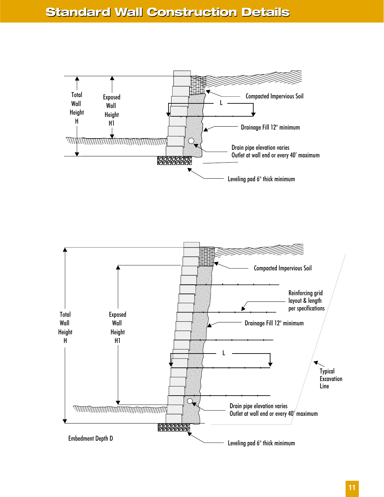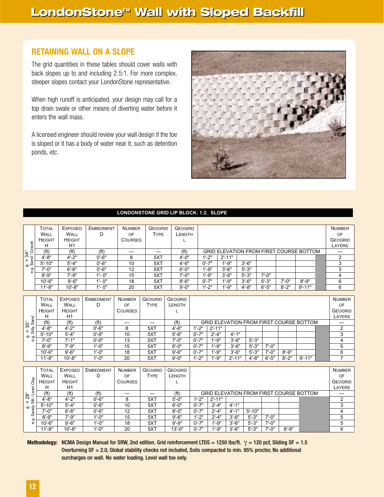#### **RETAINING WALL ON A SLOPE**

The grid quantities in these tables should cover walls with back slopes up to and including 2.5:1. For more complex, steeper slopes contact your LondonStone representative.

When high runoff is anticipated, your design may call for a top drain swale or other means of diverting water before it enters the wall mass.

A licensed engineer should review your wall design if the toe is sloped or it has a body of water near it, such as detention ponds, etc.



#### **LONDONSTONE GRID LIP BLOCK: 1:2\_ SLOPE**

|                                                  | <b>TOTAL</b>      | <b>EXPOSED</b>                                  | <b>EMBEDMENT</b>  | <b>NUMBER</b>  | <b>GEOGRID</b> | <b>GEOGRID</b>    |                                                |                                                |            |        |            |            |            |                                                | <b>NUMBER</b>  |
|--------------------------------------------------|-------------------|-------------------------------------------------|-------------------|----------------|----------------|-------------------|------------------------------------------------|------------------------------------------------|------------|--------|------------|------------|------------|------------------------------------------------|----------------|
|                                                  | WALL              | WALL                                            | D                 | OF             | <b>TYPE</b>    | <b>LENGTH</b>     |                                                |                                                |            |        |            |            |            |                                                | OF             |
|                                                  | <b>HEIGHT</b>     | <b>HEIGHT</b>                                   |                   | <b>COURSES</b> |                |                   |                                                |                                                |            |        |            |            |            |                                                | <b>GEOGRID</b> |
|                                                  | н                 | H1                                              |                   |                |                |                   |                                                |                                                |            | LAYERS |            |            |            |                                                |                |
| $\phi = 34^{\circ}$<br>Sand/Gravel<br>$34^\circ$ | (f <sup>t</sup> ) | (f <sup>t</sup> )                               | (f <sup>t</sup> ) | ---            | $---$          | (f <sup>t</sup> ) |                                                | <b>GRID ELEVATION FROM FIRST COURSE BOTTOM</b> | $---$      |        |            |            |            |                                                |                |
|                                                  | $4' - 8''$        | $4' - 2"$                                       | $0' - 6"$         | 8              | 5XT            | $4' - 0''$        |                                                | $1' - 2"$                                      | $2' - 11"$ |        |            |            |            |                                                | $\overline{2}$ |
|                                                  | $5' - 10"$        | $5' - 4"$                                       | $0' - 6"$         | 10             | 5XT            | $4' - 6"$         |                                                | $0' - 7"$                                      | $1' - 9''$ |        | $3' - 6''$ |            |            |                                                | 3              |
| e.g.                                             | $7' - 0''$        | $6' - 6"$                                       | $0' - 6"$         | 12             | 5XT            | $6' - 0''$        |                                                | $1' - 9''$                                     | $3' - 6''$ |        | $5' - 3"$  |            |            |                                                | 3              |
|                                                  | $8' - 9''$        | $7' - 9''$                                      | $1' - 0''$        | 15             | 5XT            | $7' - 0''$        |                                                | $1' - 9''$                                     | $3' - 6''$ |        | $5' - 3"$  | $7' - 0''$ |            |                                                | 4              |
|                                                  | $10' - 6"$        | $9' - 6''$                                      | $1' - 0''$        | 18             | 5XT            | $8' - 6"$         |                                                | $0' - 7"$                                      | $1' - 9''$ |        | $3' - 6"$  | $5' - 3"$  | $7' - 0''$ | $8' - 9''$                                     | 6              |
|                                                  | $11' - 8"$        | $10' - 8"$                                      | $1' - 0''$        | 20             | 5XT            | $9' - 0''$        |                                                | $1' - 2"$                                      | $1' - 9''$ |        | $4' - 8''$ | $6' - 5"$  | $8' - 2"$  | $9' - 11"$                                     | 6              |
|                                                  |                   |                                                 |                   |                |                |                   |                                                |                                                |            |        |            |            |            |                                                |                |
|                                                  | <b>TOTAL</b>      | <b>EXPOSED</b>                                  | <b>EMBEDMENT</b>  | <b>NUMBER</b>  | <b>GEOGRID</b> | <b>GEOGRID</b>    |                                                |                                                |            |        |            |            |            |                                                | <b>NUMBER</b>  |
|                                                  | WALL              | WALL<br>D<br><b>TYPE</b><br>OF<br><b>LENGTH</b> |                   |                |                |                   |                                                |                                                |            | OF     |            |            |            |                                                |                |
|                                                  | <b>HEIGHT</b>     | <b>HEIGHT</b>                                   |                   | <b>COURSES</b> |                | L                 |                                                |                                                |            |        |            |            |            | <b>GEOGRID</b>                                 |                |
|                                                  | H                 | H1                                              |                   |                |                |                   |                                                |                                                |            |        |            |            |            |                                                | LAYERS         |
| $30^\circ$                                       | (f <sup>t</sup> ) | (f <sup>t</sup> )                               | (f <sup>t</sup> ) | ---            | ---            | (f <sup>t</sup> ) | <b>GRID ELEVATION FROM FIRST COURSE BOTTOM</b> |                                                |            |        |            | ---        |            |                                                |                |
| $= 30^{\circ}$<br>Silty Sand                     | $4' - 8"$         | $4' - 2"$                                       | $0'$ -6"          | 8              | 5XT            | $4' - 6''$        | $1' - 2"$                                      | $2' - 11"$                                     |            |        |            |            |            |                                                | $\overline{2}$ |
|                                                  | $5' - 10"$        | $5' - 4"$                                       | $0'$ -6"          | 10             | 5XT            | $5' - 6"$         | $0' - 7"$                                      | $2' - 4"$                                      | $4' - 1''$ |        |            |            |            |                                                | 3              |
| $rac{\theta}{\phi}$                              | $7' - 0''$        | $7' - 1''$                                      | $0'$ -6"          | 13             | 5XT            | $7' - 0''$        | $0' - 7"$                                      | $1' - 9''$                                     | $3' - 6''$ |        | $5' - 3"$  |            |            |                                                | $\overline{4}$ |
|                                                  | $8' - 9''$        | $7' - 9''$                                      | $1' - 0''$        | 15             | 5XT            | $8' - 0''$        | $0' - 7"$                                      | $1' - 9''$                                     | $3' - 6"$  |        | $5' - 3"$  | $7' - 0''$ |            |                                                | 5              |
|                                                  | $10' - 6"$        | $9' - 6''$                                      | $1' - 0''$        | 18             | 5XT            | $9' - 6''$        | $0' - 7"$                                      | $1' - 9''$                                     | $3' - 6''$ |        | $5' - 3"$  | $7' - 0''$ | $8' - 9''$ |                                                | 6              |
|                                                  | $11' - 8"$        | $10' - 8"$                                      | $1' - 0''$        | 20             | 5XT            | $9' - 0''$        | $1' - 2"$                                      | $1' - 9''$                                     | $2' - 11"$ |        | $4' - 8''$ | $6' - 5"$  | $8' - 2"$  | $9' - 11"$                                     | $\overline{7}$ |
|                                                  |                   |                                                 |                   |                |                |                   |                                                |                                                |            |        |            |            |            |                                                |                |
|                                                  | <b>TOTAL</b>      | <b>EXPOSED</b>                                  | <b>EMBEDMENT</b>  | <b>NUMBER</b>  | <b>GEOGRID</b> | <b>GEOGRID</b>    |                                                |                                                |            |        |            |            |            |                                                | <b>NUMBER</b>  |
|                                                  | WALL              | <b>WALL</b>                                     | D                 | OF             | <b>TYPE</b>    | <b>LENGTH</b>     |                                                |                                                |            |        |            |            |            |                                                | OF             |
| Clay                                             | <b>HEIGHT</b>     | <b>HEIGHT</b>                                   |                   | <b>COURSES</b> |                |                   |                                                |                                                |            |        |            |            |            |                                                | <b>GEOGRID</b> |
|                                                  | н                 | H1                                              |                   |                |                |                   |                                                |                                                |            |        |            |            |            |                                                | LAYERS         |
| Silt / Lean<br>$28^\circ$                        | (f <sup>t</sup> ) | (f <sup>t</sup> )                               | (f <sup>t</sup> ) | ---            | ---            | (f <sup>t</sup> ) |                                                |                                                |            |        |            |            |            | <b>GRID ELEVATION FROM FIRST COURSE BOTTOM</b> | ---            |
|                                                  | $4' - 8"$         | $4' - 2"$                                       | $0' - 6"$         | 8              | 5XT            | $5' - 0''$        | $1'-2"$                                        | $2' - 11"$                                     |            |        |            |            |            |                                                | $\overline{2}$ |
|                                                  | $5' - 10"$        | $5' - 4"$                                       | $0' - 6"$         | 10             | 5XT            | $6' - 0''$        | $0' - 7"$                                      | $2' - 4"$                                      | $4' - 1''$ |        |            |            |            |                                                | 3              |
| $rac{\phi}{\phi}$                                | $7' - 0''$        | $6' - 6''$                                      | $0' - 6"$         | 12             | 5XT            | $8' - 0''$        | $0' - 7"$                                      | $2' - 4"$                                      | $4' - 1''$ |        | $5' - 10"$ |            |            |                                                | $\overline{4}$ |
|                                                  | $8' - 9''$        | $7' - 9''$                                      | $1' - 0''$        | 15             | 5XT            | $9' - 6''$        | $1' - 2"$                                      | $2' - 4"$                                      | $3' - 6''$ |        | $5' - 3"$  | $7' - 0''$ |            |                                                | 5              |
| e.g.                                             | $10' - 6"$        | $9' - 6"$                                       | 1'.0"             | 18             | 5XT            | $9' - 9''$        | $0' - 7"$                                      | 1'.9"                                          | $3' - 6"$  |        | $5' - 3"$  | $7' - 0''$ |            |                                                | 5              |

10'-6" | 9'-6" | 1'-0" | 18 | 5XT | 9'-9" |0'-7" | 1'-9" | 3'-6" | 5'-3" | 7'-0" | | 5

11'-8" | 10'-8" | 1'-0" | 20 | 5XT | 13'-0" | 0'-7" | 1'-9" | 3'-6" | 5'-3" | 7'-0" | 8'-9" | | 6

**Methodology:** NCMA Design Manual for SRW, 2nd edition. Grid reinforcement LTDS = 1250 lbs/ft. γ = 120 pcf, Sliding SF = 1.5 Overturning SF = 2.0, Global stability checks not included, Soils compacted to min. 95% proctor, No additional surcharges on wall. No water loading. Level wall toe only.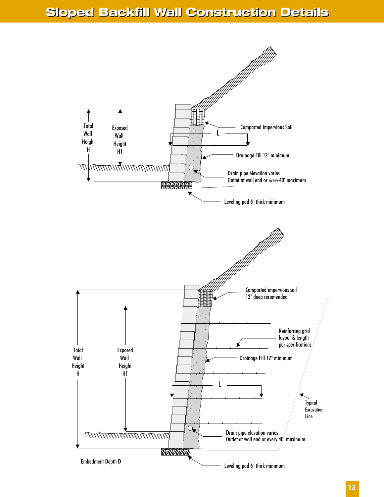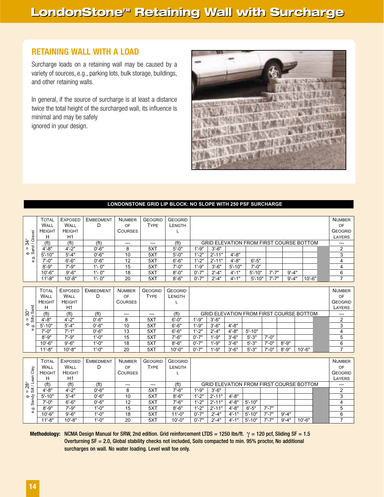#### **RETAINING WALL WITH A LOAD**

Surcharge loads on a retaining wall may be caused by a variety of sources, e.g., parking lots, bulk storage, buildings, and other retaining walls.

In general, if the source of surcharge is at least a distance twice the total height of the surcharged wall, its influence is minimal and may be safely ignored in your design.



#### **LONDONSTONE GRID LIP BLOCK: NO SLOPE WITH 250 PSF SURCHARGE**

|                                                    | <b>TOTAL</b><br>WALL<br><b>HEIGHT</b> | <b>EXPOSED</b><br>WALL<br><b>HEIGHT</b>                | <b>EMBEDMENT</b><br>D | <b>NUMBER</b><br>OF<br><b>COURSES</b> | <b>GEOGRID</b><br><b>TYPE</b> | <b>GEOGRID</b><br>LENGTH<br>L |                                                |            |            |                                                |            |            |            |            | <b>NUMBER</b><br>OF<br><b>GEOGRID</b> |  |
|----------------------------------------------------|---------------------------------------|--------------------------------------------------------|-----------------------|---------------------------------------|-------------------------------|-------------------------------|------------------------------------------------|------------|------------|------------------------------------------------|------------|------------|------------|------------|---------------------------------------|--|
| $\phi = 34^{\circ}$<br>Sand / Gravel               | н                                     | H1                                                     |                       |                                       |                               |                               |                                                |            |            |                                                |            |            |            |            | LAYERS                                |  |
| $34^{\circ}$                                       | (f <sup>t</sup> )                     | (f <sup>t</sup> )                                      | (f <sup>t</sup> )     | ---                                   | $---$                         | (f <sup>t</sup> )             |                                                |            |            | <b>GRID ELEVATION FROM FIRST COURSE BOTTOM</b> |            |            |            |            | ---                                   |  |
|                                                    | $4' - 8''$                            | $4' - 2"$                                              | $0' - 6"$             | 8                                     | 5XT                           | $5' - 0''$                    | $1' - 9''$                                     | $3' - 6''$ |            |                                                |            |            |            |            | 2                                     |  |
|                                                    | $5' - 10"$                            | $5' - 4"$                                              | $0' - 6"$             | 10                                    | 5XT                           | $5' - 0''$                    | $1'-2"$                                        | $2' - 11"$ | $4' - 8''$ |                                                |            |            |            |            | 3                                     |  |
| e.g.                                               | $7' - 0''$                            | $6' - 6''$                                             | $0' - 6"$             | 12                                    | 5XT                           | $6' - 6''$                    | $1'-2"$                                        | $2' - 11"$ | $4' - 8''$ | $6' - 5"$                                      |            |            |            |            | 4                                     |  |
|                                                    | $8' - 9''$                            | $7' - 9''$                                             | $1' - 0''$            | 15                                    | 5XT                           | $7' - 0''$                    | $1' - 9''$                                     | $3' - 6''$ | $5' - 10"$ | $7' - 0''$                                     |            |            |            |            | 4                                     |  |
|                                                    | $10' - 6"$                            | $9' - 6''$                                             | $1' - 0''$            | 18                                    | 5XT                           | $8' - 0''$                    | $0' - 7"$                                      | $2' - 4"$  | $4' - 1''$ | $5' - 10"$                                     | $7' - 7"$  | $9' - 4''$ |            |            | 6                                     |  |
|                                                    | $11' - 8"$                            | $10' - 8"$                                             | $1' - 0''$            | 20                                    | 5XT                           | $8' - 6"$                     | $0' - 7"$                                      | $2' - 4"$  | $4' - 1''$ | $5' - 10"$                                     | $7' - 7"$  | $9' - 4"$  |            | $10' - 6"$ | $\overline{7}$                        |  |
|                                                    |                                       |                                                        |                       |                                       |                               |                               |                                                |            |            |                                                |            |            |            |            |                                       |  |
|                                                    | <b>TOTAL</b>                          | <b>EXPOSED</b>                                         | <b>EMBEDMENT</b>      | <b>NUMBER</b>                         | <b>GEOGRID</b>                | <b>GEOGRID</b>                |                                                |            |            |                                                |            |            |            |            | <b>NUMBER</b>                         |  |
|                                                    | <b>WALL</b>                           | <b>WALL</b><br>D<br>OF<br><b>TYPE</b><br><b>LENGTH</b> |                       |                                       |                               |                               |                                                |            |            |                                                |            |            | OF         |            |                                       |  |
|                                                    | <b>HEIGHT</b>                         | <b>HEIGHT</b>                                          |                       | <b>COURSES</b>                        |                               | L                             | <b>GEOGRID</b>                                 |            |            |                                                |            |            |            |            |                                       |  |
|                                                    | н                                     | H1                                                     |                       |                                       |                               |                               | LAYERS                                         |            |            |                                                |            |            |            |            |                                       |  |
| Silty Sand<br>$\overset{\circ}{\mathcal{S}}$       | (f <sup>t</sup> )                     | (f <sup>t</sup> )                                      | (f <sup>t</sup> )     | ---                                   | ---                           | (f <sup>t</sup> )             | <b>GRID ELEVATION FROM FIRST COURSE BOTTOM</b> |            |            |                                                |            |            |            |            |                                       |  |
| Ш                                                  | $4' - 8"$                             | $4' - 2"$                                              | $0' - 6"$             | 8                                     | 5XT                           | $6' - 0''$                    | $1' - 9''$                                     | $3' - 6''$ |            |                                                |            |            |            |            | 2                                     |  |
| ٠<br>တ်<br>Φ                                       | $5' - 10"$                            | $5' - 4"$                                              | $0' - 6"$             | 10                                    | 5XT                           | $6' - 6''$                    | $1' - 9"$                                      | $3' - 6"$  | $4' - 8''$ |                                                |            |            |            |            | 3                                     |  |
|                                                    | $7' - 0''$                            | $7' - 1"$                                              | $0' - 6"$             | 13                                    | 5XT                           | $6' - 6''$                    | $1' - 2"$                                      | $2' - 4"$  | $4' - 8''$ | $5' - 10"$                                     |            |            |            |            | 4                                     |  |
|                                                    | $8' - 9''$                            | $7' - 9''$                                             | $1' - 0''$            | 15                                    | 5XT                           | $7' - 6''$                    | $0' - 7"$                                      | $1' - 9''$ | $3' - 6''$ | $5' - 3"$                                      | $7' - 0''$ |            |            |            | 5                                     |  |
|                                                    | $10' - 6"$                            | $9' - 6"$                                              | $1'-0''$              | 18                                    | 5XT                           | $8' - 6"$                     | $0' - 7"$                                      | $1' - 9''$ | $3' - 6''$ | $5' - 3"$                                      | $7' - 0''$ | $8' - 9''$ |            |            | 6                                     |  |
|                                                    | $11' - 8"$                            | $10' - 8"$                                             | $1' - 0''$            | 20                                    | 5XT                           | $10 - 0"$                     | $0' - 7"$                                      | $1' - 9''$ | $3' - 6"$  | $5' - 3"$                                      | $7' - 0''$ | $8' - 9''$ | $10' - 6"$ |            | $\overline{7}$                        |  |
|                                                    |                                       |                                                        |                       |                                       |                               |                               |                                                |            |            |                                                |            |            |            |            |                                       |  |
|                                                    | <b>TOTAL</b>                          | <b>EXPOSED</b>                                         | <b>EMBEDMENT</b>      | <b>NUMBER</b>                         | <b>GEOGRID</b>                | <b>GEOGRID</b>                |                                                |            |            |                                                |            |            |            |            | <b>NUMBER</b>                         |  |
|                                                    | WALL                                  | <b>WALL</b>                                            | D                     | OF                                    | <b>TYPE</b>                   | <b>LENGTH</b>                 |                                                |            |            |                                                |            |            |            |            | OF                                    |  |
|                                                    | <b>HEIGHT</b>                         | <b>HEIGHT</b>                                          |                       | <b>COURSES</b>                        |                               |                               |                                                |            |            |                                                |            |            |            |            | <b>GEOGRID</b>                        |  |
|                                                    | H                                     | H1                                                     |                       |                                       |                               |                               |                                                |            |            |                                                |            |            |            |            | LAYERS                                |  |
| = 28°<br>Silt / Lean Clay<br>$\overset{\circ}{28}$ | (f <sup>t</sup> )                     | (f <sup>t</sup> )                                      | (f <sup>t</sup> )     | $---$                                 | ---                           | (f <sup>t</sup> )             |                                                |            |            | <b>GRID ELEVATION FROM FIRST COURSE BOTTOM</b> |            |            |            |            |                                       |  |
|                                                    | $4' - 8''$                            | $4' - 2"$                                              | $0' - 6"$             | 8                                     | 5XT                           | $7' - 6''$                    | $1' - 9"$                                      | $3' - 6''$ |            |                                                |            |            |            |            | 2                                     |  |
| $rac{\phi}{\sin \theta}$                           | $5' - 10"$                            | $5' - 4"$                                              | $0' - 6"$             | 10                                    | 5XT                           | $8' - 6"$                     | $1'-2"$                                        | $2' - 11"$ | $4' - 8"$  |                                                |            |            |            |            | 3                                     |  |
|                                                    | $7' - 0''$                            | $6' - 6''$                                             | $0' - 6"$             | 12                                    | 5XT                           | $7' - 6''$                    | $1' - 2"$                                      | $2' - 11"$ | $4' - 8''$ | $5' - 10"$                                     |            |            |            |            | 4                                     |  |
| e.g.                                               | $8' - 9''$                            | $7' - 9''$                                             | $1' - 0''$            | 15                                    | 5XT                           | $8' - 6"$                     | $1' - 2"$                                      | $2' - 11"$ | $4' - 8''$ | $6' - 5"$                                      | $7' - 7"$  |            |            |            | $\overline{5}$                        |  |
|                                                    | $10' - 6"$                            | $9' - 6''$                                             | $1' - 0''$            | 18                                    | 5XT                           | $11'-0$ "                     | $0' - 7"$                                      | $2' - 4"$  | $4' - 1''$ | $5' - 10"$                                     | $7' - 7"$  | $9' - 4"$  |            |            | 6                                     |  |
|                                                    | $11'-8$ "                             | $10' - 8"$                                             | $1' - 0''$            | 20                                    | 5XT                           | $10 - 0$ "                    | $0' - 7"$                                      | $2' - 4"$  | $4' - 1''$ | $5' - 10"$                                     | $7' - 7"$  | $9' - 4"$  | $10' - 6"$ |            | $\overline{7}$                        |  |

**Methodology:** NCMA Design Manual for SRW, 2nd edition. Grid reinforcement LTDS = 1250 lbs/ft. γ = 120 pcf, Sliding SF = 1.5 Overturning SF = 2.0, Global stability checks not included, Soils compacted to min. 95% proctor, No additional surcharges on wall. No water loading. Level wall toe only.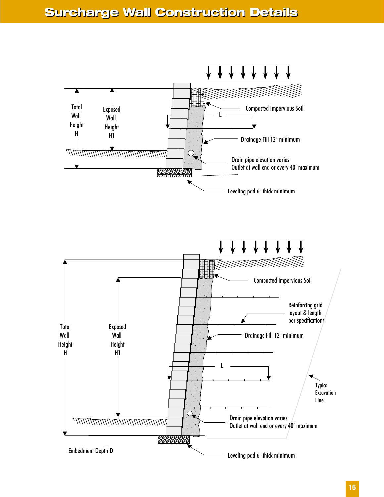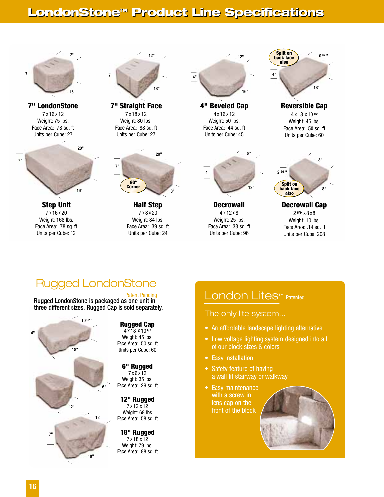## **LondonStone<sup>™</sup> Product Line Specifications**



**7" LondonStone** 7 x 16 x 12 Weight: 75 lbs. Face Area: .78 sq. ft Units per Cube: 27



**Step Unit** 7 x 16 x 20 Weight: 168 lbs. Face Area: .78 sq. ft Units per Cube: 12



**7" Straight Face** 7 x 18 x 12 Weight: 80 lbs. Face Area: .88 sq. ft Units per Cube: 27



**Half Step** 7 x 8 x 20 Weight: 84 lbs. Face Area: .39 sq. ft Units per Cube: 24



**4" Beveled Cap** 4 x 16 x 12 Weight: 50 lbs. Face Area: .44 sq. ft Units per Cube: 45



**Decrowall** 4 x 12 x 8 Weight: 25 lbs. Face Area: .33 sq. ft Units per Cube: 96



**Reversible Cap** 4 x 18 x 10 **1/2** Weight: 45 lbs. Face Area: .50 sq. ft Units per Cube: 60



**Decrowall Cap** 2 **5/8"** x 8 x 8

Weight: 10 lbs. Face Area: .14 sq. ft Units per Cube: 208

## Rugged LondonStone

Rugged LondonStone is packaged as one unit in three different sizes. Rugged Cap is sold separately.



**Rugged Cap**

4 x 18 x 10**1/2** Weight: 45 lbs. Face Area: .50 sq. ft Units per Cube: 60

#### **6" Rugged**

7 x 6 x 12 Weight: 35 lbs. Face Area: .29 sq. ft

#### **12" Rugged**

7 x 12 x 12 Weight: 68 lbs. Face Area: .58 sq. ft

#### **18" Rugged**

7 x 18 x 12 Weight: 79 lbs. Face Area: .88 sq. ft

### Patent Pending London Lites™ Patented

#### The only lite system...

- An affordable landscape lighting alternative
- Low voltage lighting system designed into all of our block sizes & colors
- Easy installation
- Safety feature of having a wall lit stairway or walkway
- Easy maintenance with a screw in lens cap on the front of the block

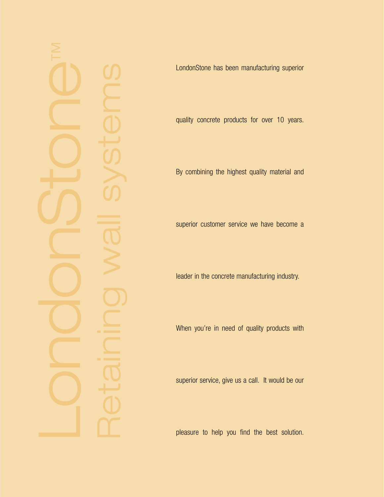LondonStone has been manufacturing superior

quality concrete products for over 10 years.

By combining the highest quality material and

superior customer service we have become a

leader in the concrete manufacturing industry.

When you 're in need of quality products with

superior service, give us a call. It would be our

pleasure to help you find the best solution.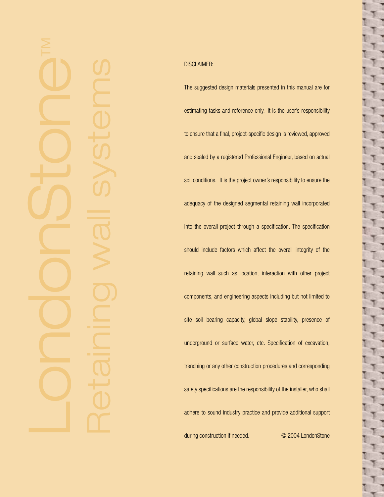#### DISCLAIMER:

The suggested design materials presented in this manual are for estimating tasks and reference only. It is the user 's responsibility to ensure that a final, project-specific design is reviewed, approved and sealed by a registered Professional Engineer, based on actual soil conditions. It is the project owner 's responsibility to ensure the adequacy of the designed segmental retaining wall incorporated into the overall project through a specification. The specification should include factors which affect the overall integrity of the retaining wall such as location, interaction with other project components, and engineering aspects including but not limited to site soil bearing capacity, global slope stability, presence of underground or surface water, etc. Specification of excavation, trenching or any other construction procedures and corresponding safety specifications are the responsibility of the installer, who shall adhere to sound industry practice and provide additional support during construction if needed. © 2004 LondonStone